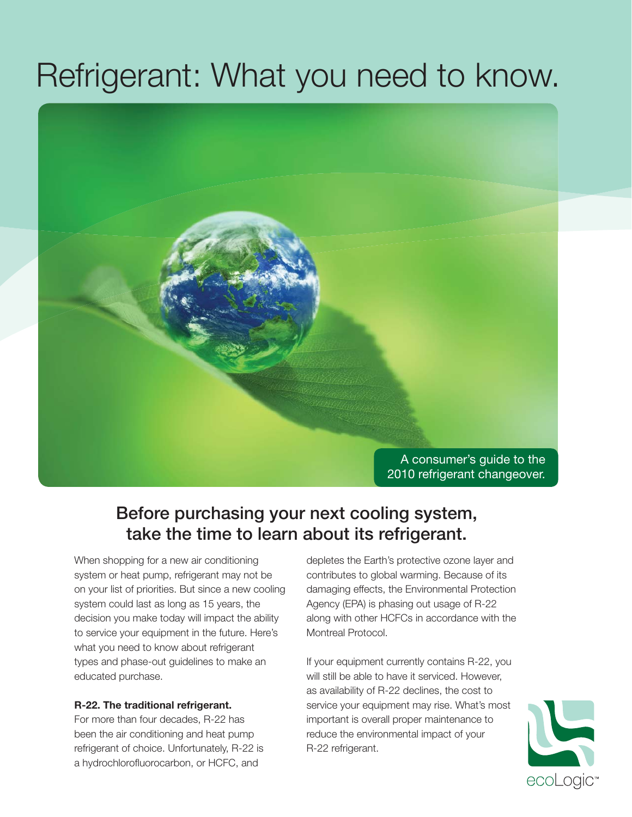# Refrigerant: What you need to know.



## **Before purchasing your next cooling system, take the time to learn about its refrigerant.**

When shopping for a new air conditioning system or heat pump, refrigerant may not be on your list of priorities. But since a new cooling system could last as long as 15 years, the decision you make today will impact the ability to service your equipment in the future. Here's what you need to know about refrigerant types and phase-out guidelines to make an educated purchase.

#### **R-22. The traditional refrigerant.**

For more than four decades, R-22 has been the air conditioning and heat pump refrigerant of choice. Unfortunately, R-22 is a hydrochlorofluorocarbon, or HCFC, and

depletes the Earth's protective ozone layer and contributes to global warming. Because of its damaging effects, the Environmental Protection Agency (EPA) is phasing out usage of R-22 along with other HCFCs in accordance with the Montreal Protocol.

If your equipment currently contains R-22, you will still be able to have it serviced. However, as availability of R-22 declines, the cost to service your equipment may rise. What's most important is overall proper maintenance to reduce the environmental impact of your R-22 refrigerant.